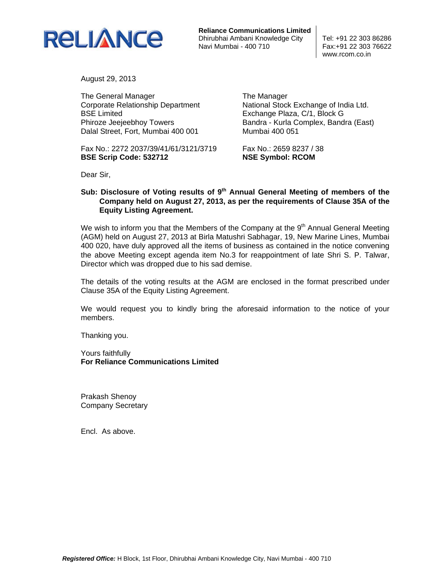

**Reliance Communications Limited** Dhirubhai Ambani Knowledge City Tel: +91 22 303 86286 Navi Mumbai - 400 710 Fax:+91 22 303 76622

www.rcom.co.in

August 29, 2013

The General Manager Corporate Relationship Department BSE Limited Phiroze Jeejeebhoy Towers Dalal Street, Fort, Mumbai 400 001

Fax No.: 2272 2037/39/41/61/3121/3719 **BSE Scrip Code: 532712** 

The Manager National Stock Exchange of India Ltd. Exchange Plaza, C/1, Block G Bandra - Kurla Complex, Bandra (East) Mumbai 400 051

Fax No.: 2659 8237 / 38 **NSE Symbol: RCOM** 

Dear Sir,

## Sub: Disclosure of Voting results of 9<sup>th</sup> Annual General Meeting of members of the **Company held on August 27, 2013, as per the requirements of Clause 35A of the Equity Listing Agreement.**

We wish to inform you that the Members of the Company at the  $9<sup>th</sup>$  Annual General Meeting (AGM) held on August 27, 2013 at Birla Matushri Sabhagar, 19, New Marine Lines, Mumbai 400 020, have duly approved all the items of business as contained in the notice convening the above Meeting except agenda item No.3 for reappointment of late Shri S. P. Talwar, Director which was dropped due to his sad demise.

The details of the voting results at the AGM are enclosed in the format prescribed under Clause 35A of the Equity Listing Agreement.

We would request you to kindly bring the aforesaid information to the notice of your members.

Thanking you.

Yours faithfully **For Reliance Communications Limited** 

Prakash Shenoy Company Secretary

Encl. As above.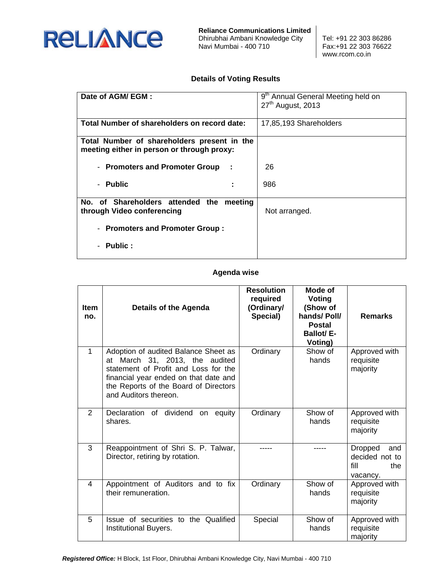

**Reliance Communications Limited** Dhirubhai Ambani Knowledge City Tel: +91 22 303 86286 Navi Mumbai - 400 710 Fax:+91 22 303 76622

www.rcom.co.in

## **Details of Voting Results**

| Date of AGM/EGM:                                                                          | 9 <sup>th</sup> Annual General Meeting held on<br>27 <sup>th</sup> August, 2013 |  |  |
|-------------------------------------------------------------------------------------------|---------------------------------------------------------------------------------|--|--|
| Total Number of shareholders on record date:                                              | 17,85,193 Shareholders                                                          |  |  |
| Total Number of shareholders present in the<br>meeting either in person or through proxy: |                                                                                 |  |  |
| - Promoters and Promoter Group<br>÷                                                       | 26                                                                              |  |  |
| - Public                                                                                  | 986                                                                             |  |  |
| No. of Shareholders attended the meeting<br>through Video conferencing                    | Not arranged.                                                                   |  |  |
| - Promoters and Promoter Group:                                                           |                                                                                 |  |  |
| - Public :                                                                                |                                                                                 |  |  |

## **Agenda wise**

| <b>Item</b><br>no. | <b>Details of the Agenda</b>                                                                                                                                                                                              | <b>Resolution</b><br>required<br>(Ordinary/<br>Special) | Mode of<br><b>Voting</b><br>(Show of<br>hands/Poll/<br><b>Postal</b><br><b>Ballot/E-</b><br>Voting) | <b>Remarks</b>                                                     |
|--------------------|---------------------------------------------------------------------------------------------------------------------------------------------------------------------------------------------------------------------------|---------------------------------------------------------|-----------------------------------------------------------------------------------------------------|--------------------------------------------------------------------|
| $\mathbf{1}$       | Adoption of audited Balance Sheet as<br>at March 31, 2013, the audited<br>statement of Profit and Loss for the<br>financial year ended on that date and<br>the Reports of the Board of Directors<br>and Auditors thereon. | Ordinary                                                | Show of<br>hands                                                                                    | Approved with<br>requisite<br>majority                             |
| $\overline{2}$     | Declaration of dividend on<br>equity<br>shares.                                                                                                                                                                           | Ordinary                                                | Show of<br>hands                                                                                    | Approved with<br>requisite<br>majority                             |
| 3                  | Reappointment of Shri S. P. Talwar,<br>Director, retiring by rotation.                                                                                                                                                    |                                                         |                                                                                                     | <b>Dropped</b><br>and<br>decided not to<br>fill<br>the<br>vacancy. |
| 4                  | Appointment of Auditors and to fix<br>their remuneration.                                                                                                                                                                 | Ordinary                                                | Show of<br>hands                                                                                    | Approved with<br>requisite<br>majority                             |
| 5                  | Issue of securities to the Qualified<br>Institutional Buyers.                                                                                                                                                             | Special                                                 | Show of<br>hands                                                                                    | Approved with<br>requisite<br>majority                             |